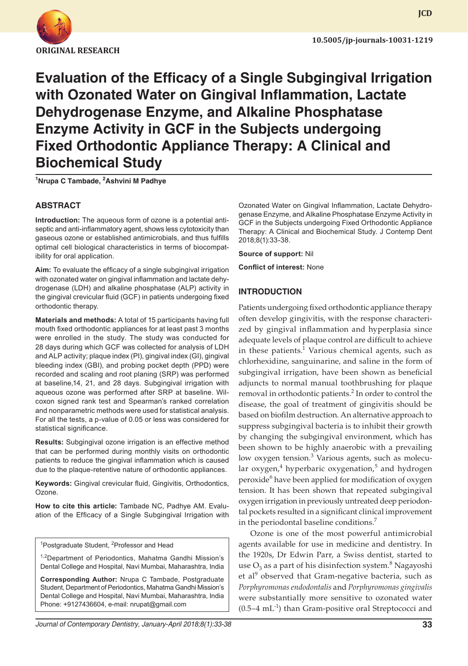

**JCD**

**Evaluation of the Efficacy of a Single Subgingival Irrigation with Ozonated Water on Gingival Inflammation, Lactate Dehydrogenase Enzyme, and Alkaline Phosphatase Enzyme Activity in GCF in the Subjects undergoing Fixed Orthodontic Appliance Therapy: A Clinical and Biochemical Study**

**1 Nrupa C Tambade, <sup>2</sup> Ashvini M Padhye**

#### **ABSTRACT**

**Introduction:** The aqueous form of ozone is a potential antiseptic and anti-inflammatory agent, shows less cytotoxicity than gaseous ozone or established antimicrobials, and thus fulfills optimal cell biological characteristics in terms of biocompatibility for oral application.

**Aim:** To evaluate the efficacy of a single subgingival irrigation with ozonated water on gingival inflammation and lactate dehydrogenase (LDH) and alkaline phosphatase (ALP) activity in the gingival crevicular fluid (GCF) in patients undergoing fixed orthodontic therapy.

**Materials and methods:** A total of 15 participants having full mouth fixed orthodontic appliances for at least past 3 months were enrolled in the study. The study was conducted for 28 days during which GCF was collected for analysis of LDH and ALP activity; plaque index (PI), gingival index (GI), gingival bleeding index (GBI), and probing pocket depth (PPD) were recorded and scaling and root planing (SRP) was performed at baseline,14, 21, and 28 days. Subgingival irrigation with aqueous ozone was performed after SRP at baseline. Wilcoxon signed rank test and Spearman's ranked correlation and nonparametric methods were used for statistical analysis. For all the tests, a p-value of 0.05 or less was considered for statistical significance.

**Results:** Subgingival ozone irrigation is an effective method that can be performed during monthly visits on orthodontic patients to reduce the gingival inflammation which is caused due to the plaque-retentive nature of orthodontic appliances.

**Keywords:** Gingival crevicular fluid, Gingivitis, Orthodontics, Ozone.

**How to cite this article:** Tambade NC, Padhye AM. Evaluation of the Efficacy of a Single Subgingival Irrigation with

<sup>1</sup>Postgraduate Student, <sup>2</sup>Professor and Head

<sup>1,2</sup>Department of Periodontics, Mahatma Gandhi Mission's Dental College and Hospital, Navi Mumbai, Maharashtra, India

**Corresponding Author:** Nrupa C Tambade, Postgraduate Student, Department of Periodontics, Mahatma Gandhi Mission's Dental College and Hospital, Navi Mumbai, Maharashtra, India Phone: +9127436604, e-mail: nrupat@gmail.com

Ozonated Water on Gingival Inflammation, Lactate Dehydrogenase Enzyme, and Alkaline Phosphatase Enzyme Activity in GCF in the Subjects undergoing Fixed Orthodontic Appliance Therapy: A Clinical and Biochemical Study. J Contemp Dent 2018;8(1):33-38.

**Source of support:** Nil

**Conflict of interest:** None

#### **INTRODUCTION**

Patients undergoing fixed orthodontic appliance therapy often develop gingivitis, with the response characterized by gingival inflammation and hyperplasia since adequate levels of plaque control are difficult to achieve in these patients. $1$  Various chemical agents, such as chlorhexidine, sanguinarine, and saline in the form of subgingival irrigation, have been shown as beneficial adjuncts to normal manual toothbrushing for plaque removal in orthodontic patients.<sup>2</sup> In order to control the disease, the goal of treatment of gingivitis should be based on biofilm destruction. An alternative approach to suppress subgingival bacteria is to inhibit their growth by changing the subgingival environment, which has been shown to be highly anaerobic with a prevailing low oxygen tension.<sup>3</sup> Various agents, such as molecular oxygen,<sup>4</sup> hyperbaric oxygenation,<sup>5</sup> and hydrogen peroxide<sup>6</sup> have been applied for modification of oxygen tension. It has been shown that repeated subgingival oxygen irrigation in previously untreated deep periodontal pockets resulted in a significant clinical improvement in the periodontal baseline conditions.<sup>7</sup>

Ozone is one of the most powerful antimicrobial agents available for use in medicine and dentistry. In the 1920s, Dr Edwin Parr, a Swiss dentist, started to use  $\mathrm{O}_3$  as a part of his disinfection system. $^8$  Nagayoshi et al<sup>9</sup> observed that Gram-negative bacteria, such as *Porphyromonas endodontalis* and *Porphyromonas gingivalis* were substantially more sensitive to ozonated water  $(0.5-4 \text{ mL}^{-1})$  than Gram-positive oral Streptococci and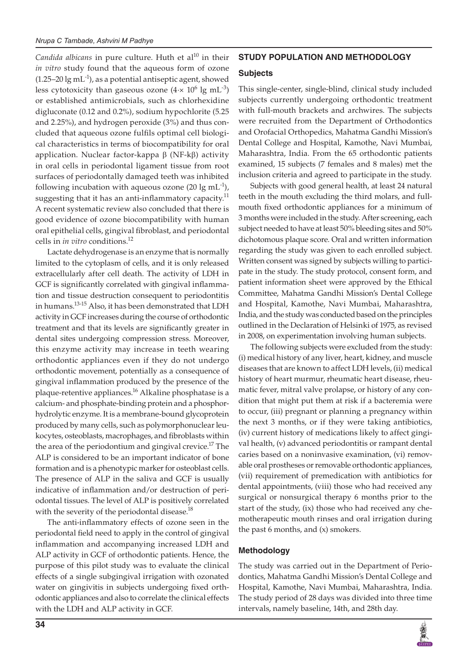Candida albicans in pure culture. Huth et al<sup>10</sup> in their *in vitro* study found that the aqueous form of ozone  $(1.25-20 \lg{\mathrm{m}}\text{L}^{-1})$ , as a potential antiseptic agent, showed less cytotoxicity than gaseous ozone  $(4 \times 10^6 \text{ kg mL}^{-3})$ or established antimicrobials, such as chlorhexidine digluconate (0.12 and 0.2%), sodium hypochlorite (5.25 and 2.25%), and hydrogen peroxide (3%) and thus concluded that aqueous ozone fulfils optimal cell biological characteristics in terms of biocompatibility for oral application. Nuclear factor-kappa β (NF-kβ) activity in oral cells in periodontal ligament tissue from root surfaces of periodontally damaged teeth was inhibited following incubation with aqueous ozone (20 lg mL<sup>-1</sup>), suggesting that it has an anti-inflammatory capacity.<sup>11</sup> A recent systematic review also concluded that there is good evidence of ozone biocompatibility with human oral epithelial cells, gingival fibroblast, and periodontal cells in *in vitro* conditions.12

Lactate dehydrogenase is an enzyme that is normally limited to the cytoplasm of cells, and it is only released extracellularly after cell death. The activity of LDH in GCF is significantly correlated with gingival inflammation and tissue destruction consequent to periodontitis in humans.<sup>13-15</sup> Also, it has been demonstrated that LDH activity in GCF increases during the course of orthodontic treatment and that its levels are significantly greater in dental sites undergoing compression stress. Moreover, this enzyme activity may increase in teeth wearing orthodontic appliances even if they do not undergo orthodontic movement, potentially as a consequence of gingival inflammation produced by the presence of the plaque-retentive appliances.<sup>16</sup> Alkaline phosphatase is a calcium- and phosphate-binding protein and a phosphorhydrolytic enzyme. It is a membrane-bound glycoprotein produced by many cells, such as polymorphonuclear leukocytes, osteoblasts, macrophages, and fibroblasts within the area of the periodontium and gingival crevice.<sup>17</sup> The ALP is considered to be an important indicator of bone formation and is a phenotypic marker for osteoblast cells. The presence of ALP in the saliva and GCF is usually indicative of inflammation and/or destruction of periodontal tissues. The level of ALP is positively correlated with the severity of the periodontal disease.<sup>18</sup>

The anti-inflammatory effects of ozone seen in the periodontal field need to apply in the control of gingival inflammation and accompanying increased LDH and ALP activity in GCF of orthodontic patients. Hence, the purpose of this pilot study was to evaluate the clinical effects of a single subgingival irrigation with ozonated water on gingivitis in subjects undergoing fixed orthodontic appliances and also to correlate the clinical effects with the LDH and ALP activity in GCF.

# **STUDY POPULATION AND METHODOLOGY**

#### **Subjects**

This single-center, single-blind, clinical study included subjects currently undergoing orthodontic treatment with full-mouth brackets and archwires. The subjects were recruited from the Department of Orthodontics and Orofacial Orthopedics, Mahatma Gandhi Mission's Dental College and Hospital, Kamothe, Navi Mumbai, Maharashtra, India. From the 65 orthodontic patients examined, 15 subjects (7 females and 8 males) met the inclusion criteria and agreed to participate in the study.

Subjects with good general health, at least 24 natural teeth in the mouth excluding the third molars, and fullmouth fixed orthodontic appliances for a minimum of 3 months were included in the study. After screening, each subject needed to have at least 50% bleeding sites and 50% dichotomous plaque score. Oral and written information regarding the study was given to each enrolled subject. Written consent was signed by subjects willing to participate in the study. The study protocol, consent form, and patient information sheet were approved by the Ethical Committee, Mahatma Gandhi Mission's Dental College and Hospital, Kamothe, Navi Mumbai, Maharashtra, India, and the study was conducted based on the principles outlined in the Declaration of Helsinki of 1975, as revised in 2008, on experimentation involving human subjects.

The following subjects were excluded from the study: (i) medical history of any liver, heart, kidney, and muscle diseases that are known to affect LDH levels, (ii) medical history of heart murmur, rheumatic heart disease, rheumatic fever, mitral valve prolapse, or history of any condition that might put them at risk if a bacteremia were to occur, (iii) pregnant or planning a pregnancy within the next 3 months, or if they were taking antibiotics, (iv) current history of medications likely to affect gingival health, (v) advanced periodontitis or rampant dental caries based on a noninvasive examination, (vi) removable oral prostheses or removable orthodontic appliances, (vii) requirement of premedication with antibiotics for dental appointments, (viii) those who had received any surgical or nonsurgical therapy 6 months prior to the start of the study, (ix) those who had received any chemotherapeutic mouth rinses and oral irrigation during the past  $6$  months, and  $(x)$  smokers.

# **Methodology**

The study was carried out in the Department of Periodontics, Mahatma Gandhi Mission's Dental College and Hospital, Kamothe, Navi Mumbai, Maharashtra, India. The study period of 28 days was divided into three time intervals, namely baseline, 14th, and 28th day.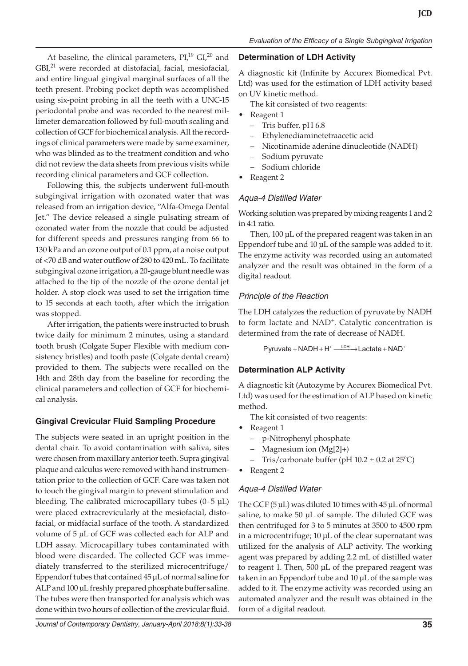At baseline, the clinical parameters,  $PI<sub>19</sub>$  GI,<sup>20</sup> and GBI,<sup>21</sup> were recorded at distofacial, facial, mesiofacial, and entire lingual gingival marginal surfaces of all the teeth present. Probing pocket depth was accomplished using six-point probing in all the teeth with a UNC-15 periodontal probe and was recorded to the nearest millimeter demarcation followed by full-mouth scaling and collection of GCF for biochemical analysis. All the recordings of clinical parameters were made by same examiner, who was blinded as to the treatment condition and who did not review the data sheets from previous visits while recording clinical parameters and GCF collection.

Following this, the subjects underwent full-mouth subgingival irrigation with ozonated water that was released from an irrigation device, "Alfa-Omega Dental Jet." The device released a single pulsating stream of ozonated water from the nozzle that could be adjusted for different speeds and pressures ranging from 66 to 130 kPa and an ozone output of 0.1 ppm, at a noise output of <70 dB and water outflow of 280 to 420 mL. To facilitate subgingival ozone irrigation, a 20-gauge blunt needle was attached to the tip of the nozzle of the ozone dental jet holder. A stop clock was used to set the irrigation time to 15 seconds at each tooth, after which the irrigation was stopped.

After irrigation, the patients were instructed to brush twice daily for minimum 2 minutes, using a standard tooth brush (Colgate Super Flexible with medium consistency bristles) and tooth paste (Colgate dental cream) provided to them. The subjects were recalled on the 14th and 28th day from the baseline for recording the clinical parameters and collection of GCF for biochemical analysis.

# **Gingival Crevicular Fluid Sampling Procedure**

The subjects were seated in an upright position in the dental chair. To avoid contamination with saliva, sites were chosen from maxillary anterior teeth. Supra gingival plaque and calculus were removed with hand instrumentation prior to the collection of GCF. Care was taken not to touch the gingival margin to prevent stimulation and bleeding. The calibrated microcapillary tubes  $(0-5 \mu L)$ were placed extracrevicularly at the mesiofacial, distofacial, or midfacial surface of the tooth. A standardized volume of 5 µL of GCF was collected each for ALP and LDH assay. Microcapillary tubes contaminated with blood were discarded. The collected GCF was immediately transferred to the sterilized microcentrifuge/ Eppendorf tubes that contained 45 µL of normal saline for ALP and 100 µL freshly prepared phosphate buffer saline. The tubes were then transported for analysis which was done within two hours of collection of the crevicular fluid.

# **Determination of LDH Activity**

A diagnostic kit (Infinite by Accurex Biomedical Pvt. Ltd) was used for the estimation of LDH activity based on UV kinetic method.

The kit consisted of two reagents:

- Reagent 1
	- Tris buffer, pH 6.8
	- Ethylenediaminetetraacetic acid
	- Nicotinamide adenine dinucleotide (NADH)
	- Sodium pyruvate
- Sodium chloride
- Reagent 2

# *Aqua-4 Distilled Water*

Working solution was prepared by mixing reagents 1 and 2 in 4:1 ratio.

Then, 100 µL of the prepared reagent was taken in an Eppendorf tube and 10 µL of the sample was added to it. The enzyme activity was recorded using an automated analyzer and the result was obtained in the form of a digital readout.

# *Principle of the Reaction*

The LDH catalyzes the reduction of pyruvate by NADH to form lactate and NAD<sup>+</sup>. Catalytic concentration is determined from the rate of decrease of NADH.

 $P$ yruvate + NADH +  $H^+$   $\longrightarrow$  Lactate + NAD<sup>+</sup>

# **Determination ALP Activity**

A diagnostic kit (Autozyme by Accurex Biomedical Pvt. Ltd) was used for the estimation of ALP based on kinetic method.

The kit consisted of two reagents:

- Reagent 1
	- p-Nitrophenyl phosphate
	- Magnesium ion (Mg[2]+)
	- Tris/carbonate buffer (pH  $10.2 \pm 0.2$  at  $25^{\circ}$ C)
- Reagent 2

# *Aqua-4 Distilled Water*

The GCF (5 µL) was diluted 10 times with 45 µL of normal saline, to make 50 µL of sample. The diluted GCF was then centrifuged for 3 to 5 minutes at 3500 to 4500 rpm in a microcentrifuge; 10 µL of the clear supernatant was utilized for the analysis of ALP activity. The working agent was prepared by adding 2.2 mL of distilled water to reagent 1. Then, 500 µL of the prepared reagent was taken in an Eppendorf tube and 10 µL of the sample was added to it. The enzyme activity was recorded using an automated analyzer and the result was obtained in the form of a digital readout.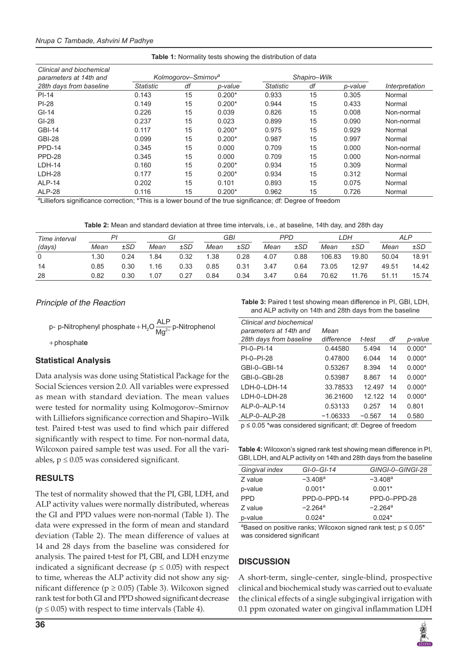|  |  |  | <b>Table 1:</b> Normality tests showing the distribution of data |  |
|--|--|--|------------------------------------------------------------------|--|
|  |  |  |                                                                  |  |

| Clinical and biochemical |                  |                                 |          |                  |              |         |                |
|--------------------------|------------------|---------------------------------|----------|------------------|--------------|---------|----------------|
| parameters at 14th and   |                  | Kolmogorov-Smirnov <sup>a</sup> |          |                  | Shapiro-Wilk |         |                |
| 28th days from baseline  | <b>Statistic</b> | df                              | p-value  | <b>Statistic</b> | df           | p-value | Interpretation |
| $PI-14$                  | 0.143            | 15                              | $0.200*$ | 0.933            | 15           | 0.305   | Normal         |
| $PI-28$                  | 0.149            | 15                              | $0.200*$ | 0.944            | 15           | 0.433   | Normal         |
| $GI-14$                  | 0.226            | 15                              | 0.039    | 0.826            | 15           | 0.008   | Non-normal     |
| $GI-28$                  | 0.237            | 15                              | 0.023    | 0.899            | 15           | 0.090   | Non-normal     |
| <b>GBI-14</b>            | 0.117            | 15                              | $0.200*$ | 0.975            | 15           | 0.929   | Normal         |
| <b>GBI-28</b>            | 0.099            | 15                              | $0.200*$ | 0.987            | 15           | 0.997   | Normal         |
| PPD-14                   | 0.345            | 15                              | 0.000    | 0.709            | 15           | 0.000   | Non-normal     |
| PPD-28                   | 0.345            | 15                              | 0.000    | 0.709            | 15           | 0.000   | Non-normal     |
| $LDH-14$                 | 0.160            | 15                              | $0.200*$ | 0.934            | 15           | 0.309   | Normal         |
| $LDH-28$                 | 0.177            | 15                              | $0.200*$ | 0.934            | 15           | 0.312   | Normal         |
| ALP-14                   | 0.202            | 15                              | 0.101    | 0.893            | 15           | 0.075   | Normal         |
| ALP-28                   | 0.116            | 15                              | $0.200*$ | 0.962            | 15           | 0.726   | Normal         |

a Lilliefors significance correction; \*This is a lower bound of the true significance; df: Degree of freedom

**Table 2:** Mean and standard deviation at three time intervals, i.e., at baseline, 14th day, and 28th day

| Time interval | P.   |          | Gl   |          | GBI  |          | PPD  |      | LDH    |          | <b>ALP</b> |          |
|---------------|------|----------|------|----------|------|----------|------|------|--------|----------|------------|----------|
| (days)        | Mean | $\pm SD$ | Mean | $\pm SD$ | Mean | $\pm SD$ | Mean | ±SD  | Mean   | $\pm SD$ | Mean       | $\pm SD$ |
|               | 1.30 | 0.24     | 1.84 | 0.32     | 1.38 | 0.28     | 4.07 | 0.88 | 106.83 | 19.80    | 50.04      | 18.91    |
| 14            | 0.85 | 0.30     | 1.16 | 0.33     | 0.85 | 0.31     | 3.47 | 0.64 | 73.05  | 12.97    | 49.51      | 14.42    |
| 28            | 0.82 | 0.30     | .07  | 0.27     | 0.84 | 0.34     | 3.47 | 0.64 | 70.62  | 11.76    | 51.11      | 15.74    |

#### *Principle of the Reaction*

p- p-Nitrophenyl phosphate + H<sub>2</sub>O  $\frac{\displaystyle{\mathsf{ALP}}}{\displaystyle{\mathsf{Mg}^{2+}}}$ p-Nitrophenol

+ phosphat e

#### **Statistical Analysis**

Data analysis was done using Statistical Package for the Social Sciences version 2.0. All variables were expressed as mean with standard deviation. The mean values were tested for normality using Kolmogorov–Smirnov with Lilliefors significance correction and Shapiro–Wilk test. Paired t-test was used to find which pair differed significantly with respect to time. For non-normal data, Wilcoxon paired sample test was used. For all the variables,  $p \leq 0.05$  was considered significant.

#### **RESULTS**

The test of normality showed that the PI, GBI, LDH, and ALP activity values were normally distributed, whereas the GI and PPD values were non-normal (Table 1). The data were expressed in the form of mean and standard deviation (Table 2). The mean difference of values at 14 and 28 days from the baseline was considered for analysis. The paired t-test for PI, GBI, and LDH enzyme indicated a significant decrease ( $p \leq 0.05$ ) with respect to time, whereas the ALP activity did not show any significant difference ( $p \ge 0.05$ ) (Table 3). Wilcoxon signed rank test for both GI and PPD showed significant decrease  $(p \le 0.05)$  with respect to time intervals (Table 4).

**Table 3:** Paired t test showing mean difference in PI, GBI, LDH, and ALP activity on 14th and 28th days from the baseline

| Clinical and biochemical |            |          |    |          |
|--------------------------|------------|----------|----|----------|
| parameters at 14th and   | Mean       |          |    |          |
| 28th days from baseline  | difference | t-test   | df | p-value  |
| $PI-0-PI-14$             | 0.44580    | 5.494    | 14 | $0.000*$ |
| $PI - 0 - PI - 28$       | 0.47800    | 6.044    | 14 | $0.000*$ |
| $GBI-0-GBI-14$           | 0.53267    | 8.394    | 14 | $0.000*$ |
| GBI-0-GBI-28             | 0.53987    | 8.867    | 14 | $0.000*$ |
| I DH-0-I DH-14           | 33.78533   | 12.497   | 14 | $0.000*$ |
| LDH-0-LDH-28             | 36.21600   | 12.122   | 14 | $0.000*$ |
| AI P-0-AI P-14           | 0.53133    | 0.257    | 14 | 0.801    |
| ALP-0-ALP-28             | $-1.06333$ | $-0.567$ | 14 | 0.580    |

p ≤ 0.05 \*was considered significant; df: Degree of freedom

| <b>Table 4:</b> Wilcoxon's signed rank test showing mean difference in PI, |
|----------------------------------------------------------------------------|
| GBI, LDH, and ALP activity on 14th and 28th days from the baseline         |

| Gingival index | $GI-O-GI-14$          | GINGI-0-GINGI-28      |
|----------------|-----------------------|-----------------------|
| Z value        | $-3.408$ <sup>a</sup> | $-3.408a$             |
| p-value        | $0.001*$              | $0.001*$              |
| <b>PPD</b>     | PPD-0-PPD-14          | PPD-0-PPD-28          |
| Z value        | $-2.264$ <sup>a</sup> | $-2.264$ <sup>a</sup> |
| p-value        | $0.024*$              | $0.024*$              |

 $a$ Based on positive ranks; Wilcoxon signed rank test;  $p \le 0.05$ \* was considered significant

#### **DISCUSSION**

A short-term, single-center, single-blind, prospective clinical and biochemical study was carried out to evaluate the clinical effects of a single subgingival irrigation with 0.1 ppm ozonated water on gingival inflammation LDH

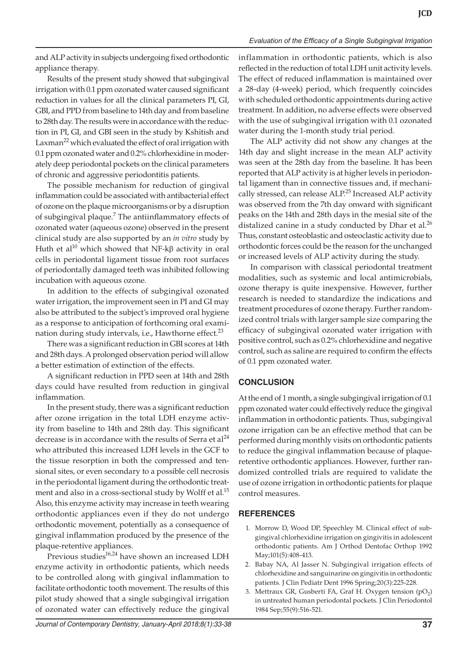#### *Evaluation of the Efficacy of a Single Subgingival Irrigation*

and ALP activity in subjects undergoing fixed orthodontic appliance therapy.

Results of the present study showed that subgingival irrigation with 0.1 ppm ozonated water caused significant reduction in values for all the clinical parameters PI, GI, GBI, and PPD from baseline to 14th day and from baseline to 28th day. The results were in accordance with the reduction in PI, GI, and GBI seen in the study by Kshitish and Laxman<sup>22</sup> which evaluated the effect of oral irrigation with 0.1 ppm ozonated water and 0.2% chlorhexidine in moderately deep periodontal pockets on the clinical parameters of chronic and aggressive periodontitis patients.

The possible mechanism for reduction of gingival inflammation could be associated with antibacterial effect of ozone on the plaque microorganisms or by a disruption of subgingival plaque.<sup>7</sup> The antiinflammatory effects of ozonated water (aqueous ozone) observed in the present clinical study are also supported by an *in vitro* study by Huth et al<sup>10</sup> which showed that NF-kβ activity in oral cells in periodontal ligament tissue from root surfaces of periodontally damaged teeth was inhibited following incubation with aqueous ozone.

In addition to the effects of subgingival ozonated water irrigation, the improvement seen in PI and GI may also be attributed to the subject's improved oral hygiene as a response to anticipation of forthcoming oral examination during study intervals, i.e., Hawthorne effect.<sup>23</sup>

There was a significant reduction in GBI scores at 14th and 28th days. A prolonged observation period will allow a better estimation of extinction of the effects.

A significant reduction in PPD seen at 14th and 28th days could have resulted from reduction in gingival inflammation.

In the present study, there was a significant reduction after ozone irrigation in the total LDH enzyme activity from baseline to 14th and 28th day. This significant decrease is in accordance with the results of Serra et  $al^{24}$ who attributed this increased LDH levels in the GCF to the tissue resorption in both the compressed and tensional sites, or even secondary to a possible cell necrosis in the periodontal ligament during the orthodontic treatment and also in a cross-sectional study by Wolff et al.<sup>15</sup> Also, this enzyme activity may increase in teeth wearing orthodontic appliances even if they do not undergo orthodontic movement, potentially as a consequence of gingival inflammation produced by the presence of the plaque-retentive appliances.

Previous studies $^{16,24}$  have shown an increased LDH enzyme activity in orthodontic patients, which needs to be controlled along with gingival inflammation to facilitate orthodontic tooth movement. The results of this pilot study showed that a single subgingival irrigation of ozonated water can effectively reduce the gingival

inflammation in orthodontic patients, which is also reflected in the reduction of total LDH unit activity levels. The effect of reduced inflammation is maintained over a 28-day (4-week) period, which frequently coincides with scheduled orthodontic appointments during active treatment. In addition, no adverse effects were observed with the use of subgingival irrigation with 0.1 ozonated water during the 1-month study trial period.

The ALP activity did not show any changes at the 14th day and slight increase in the mean ALP activity was seen at the 28th day from the baseline. It has been reported that ALP activity is at higher levels in periodontal ligament than in connective tissues and, if mechanically stressed, can release ALP.<sup>25</sup> Increased ALP activity was observed from the 7th day onward with significant peaks on the 14th and 28th days in the mesial site of the distalized canine in a study conducted by Dhar et al.<sup>26</sup> Thus, constant osteoblastic and osteoclastic activity due to orthodontic forces could be the reason for the unchanged or increased levels of ALP activity during the study.

In comparison with classical periodontal treatment modalities, such as systemic and local antimicrobials, ozone therapy is quite inexpensive. However, further research is needed to standardize the indications and treatment procedures of ozone therapy. Further randomized control trials with larger sample size comparing the efficacy of subgingival ozonated water irrigation with positive control, such as 0.2% chlorhexidine and negative control, such as saline are required to confirm the effects of 0.1 ppm ozonated water.

# **CONCLUSION**

At the end of 1 month, a single subgingival irrigation of 0.1 ppm ozonated water could effectively reduce the gingival inflammation in orthodontic patients. Thus, subgingival ozone irrigation can be an effective method that can be performed during monthly visits on orthodontic patients to reduce the gingival inflammation because of plaqueretentive orthodontic appliances. However, further randomized controlled trials are required to validate the use of ozone irrigation in orthodontic patients for plaque control measures.

#### **REFERENCES**

- 1. Morrow D, Wood DP, Speechley M. Clinical effect of subgingival chlorhexidine irrigation on gingivitis in adolescent orthodontic patients. Am J Orthod Dentofac Orthop 1992 May;101(5):408-413.
- 2. Babay NA, Al Jasser N. Subgingival irrigation effects of chlorhexidine and sanguinarine on gingivitis in orthodontic patients. J Clin Pediatr Dent 1996 Spring;20(3):225-228.
- 3. Mettraux GR, Gusberti FA, Graf H. Oxygen tension  $(pO<sub>2</sub>)$ in untreated human periodontal pockets. J Clin Periodontol 1984 Sep;55(9):516-521.